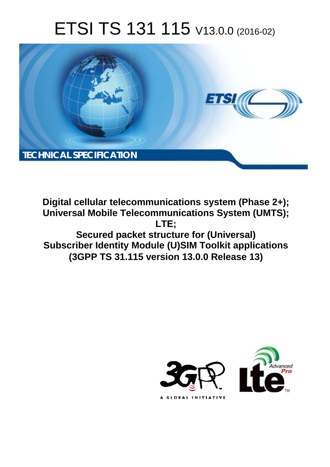# ETSI TS 131 115 V13.0.0 (2016-02)



**Digital cellular telecommunications system (Phase 2+); Universal Mobile Tel elecommunications System ( (UMTS); Secured packet structure for (Universal) Subscriber Identity Module (U)SIM Toolkit applications (3GPP TS 31.1 .115 version 13.0.0 Release 13 13) LTE;** 

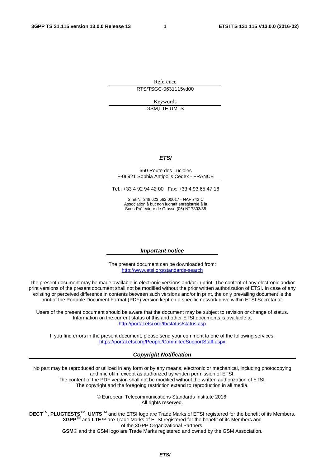Reference RTS/TSGC-0631115vd00

Keywords

GSM,LTE,UMTS

#### *ETSI*

#### 650 Route des Lucioles F-06921 Sophia Antipolis Cedex - FRANCE

Tel.: +33 4 92 94 42 00 Fax: +33 4 93 65 47 16

Siret N° 348 623 562 00017 - NAF 742 C Association à but non lucratif enregistrée à la Sous-Préfecture de Grasse (06) N° 7803/88

#### *Important notice*

The present document can be downloaded from: <http://www.etsi.org/standards-search>

The present document may be made available in electronic versions and/or in print. The content of any electronic and/or print versions of the present document shall not be modified without the prior written authorization of ETSI. In case of any existing or perceived difference in contents between such versions and/or in print, the only prevailing document is the print of the Portable Document Format (PDF) version kept on a specific network drive within ETSI Secretariat.

Users of the present document should be aware that the document may be subject to revision or change of status. Information on the current status of this and other ETSI documents is available at <http://portal.etsi.org/tb/status/status.asp>

If you find errors in the present document, please send your comment to one of the following services: <https://portal.etsi.org/People/CommiteeSupportStaff.aspx>

#### *Copyright Notification*

No part may be reproduced or utilized in any form or by any means, electronic or mechanical, including photocopying and microfilm except as authorized by written permission of ETSI.

The content of the PDF version shall not be modified without the written authorization of ETSI. The copyright and the foregoing restriction extend to reproduction in all media.

> © European Telecommunications Standards Institute 2016. All rights reserved.

**DECT**TM, **PLUGTESTS**TM, **UMTS**TM and the ETSI logo are Trade Marks of ETSI registered for the benefit of its Members. **3GPP**TM and **LTE**™ are Trade Marks of ETSI registered for the benefit of its Members and of the 3GPP Organizational Partners.

**GSM**® and the GSM logo are Trade Marks registered and owned by the GSM Association.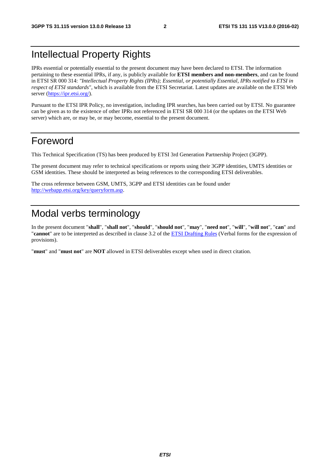# Intellectual Property Rights

IPRs essential or potentially essential to the present document may have been declared to ETSI. The information pertaining to these essential IPRs, if any, is publicly available for **ETSI members and non-members**, and can be found in ETSI SR 000 314: *"Intellectual Property Rights (IPRs); Essential, or potentially Essential, IPRs notified to ETSI in respect of ETSI standards"*, which is available from the ETSI Secretariat. Latest updates are available on the ETSI Web server [\(https://ipr.etsi.org/](https://ipr.etsi.org/)).

Pursuant to the ETSI IPR Policy, no investigation, including IPR searches, has been carried out by ETSI. No guarantee can be given as to the existence of other IPRs not referenced in ETSI SR 000 314 (or the updates on the ETSI Web server) which are, or may be, or may become, essential to the present document.

### Foreword

This Technical Specification (TS) has been produced by ETSI 3rd Generation Partnership Project (3GPP).

The present document may refer to technical specifications or reports using their 3GPP identities, UMTS identities or GSM identities. These should be interpreted as being references to the corresponding ETSI deliverables.

The cross reference between GSM, UMTS, 3GPP and ETSI identities can be found under <http://webapp.etsi.org/key/queryform.asp>.

# Modal verbs terminology

In the present document "**shall**", "**shall not**", "**should**", "**should not**", "**may**", "**need not**", "**will**", "**will not**", "**can**" and "**cannot**" are to be interpreted as described in clause 3.2 of the [ETSI Drafting Rules](http://portal.etsi.org/Help/editHelp!/Howtostart/ETSIDraftingRules.aspx) (Verbal forms for the expression of provisions).

"**must**" and "**must not**" are **NOT** allowed in ETSI deliverables except when used in direct citation.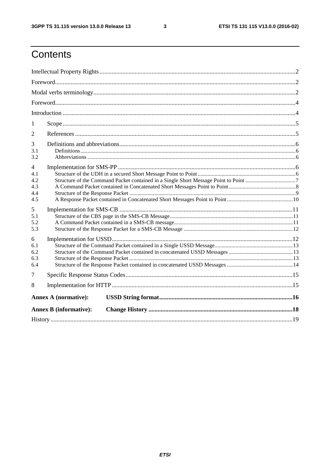$\mathbf{3}$ 

# Contents

| 1                                                 |                               |  |  |  |  |  |  |
|---------------------------------------------------|-------------------------------|--|--|--|--|--|--|
| 2                                                 |                               |  |  |  |  |  |  |
| 3<br>3.1<br>3.2                                   |                               |  |  |  |  |  |  |
| $\overline{4}$<br>4.1<br>4.2<br>4.3<br>4.4<br>4.5 |                               |  |  |  |  |  |  |
| 5<br>5.1<br>5.2<br>5.3                            |                               |  |  |  |  |  |  |
| 6<br>6.1<br>6.2<br>6.3<br>6.4                     |                               |  |  |  |  |  |  |
| 7                                                 |                               |  |  |  |  |  |  |
| 8                                                 |                               |  |  |  |  |  |  |
|                                                   | <b>Annex A (normative):</b>   |  |  |  |  |  |  |
|                                                   | <b>Annex B</b> (informative): |  |  |  |  |  |  |
|                                                   |                               |  |  |  |  |  |  |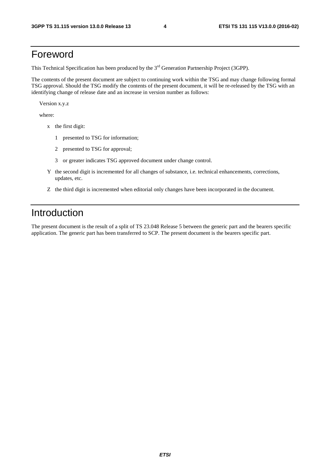# Foreword

This Technical Specification has been produced by the 3<sup>rd</sup> Generation Partnership Project (3GPP).

The contents of the present document are subject to continuing work within the TSG and may change following formal TSG approval. Should the TSG modify the contents of the present document, it will be re-released by the TSG with an identifying change of release date and an increase in version number as follows:

Version x.y.z

where:

- x the first digit:
	- 1 presented to TSG for information;
	- 2 presented to TSG for approval;
	- 3 or greater indicates TSG approved document under change control.
- Y the second digit is incremented for all changes of substance, i.e. technical enhancements, corrections, updates, etc.
- Z the third digit is incremented when editorial only changes have been incorporated in the document.

# Introduction

The present document is the result of a split of TS 23.048 Release 5 between the generic part and the bearers specific application. The generic part has been transferred to SCP. The present document is the bearers specific part.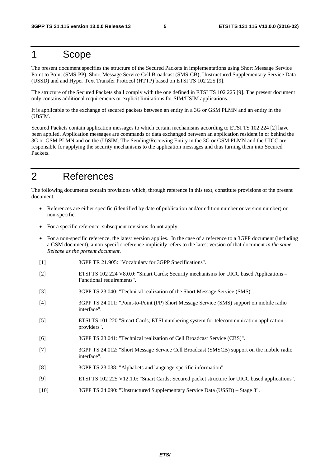### 1 Scope

The present document specifies the structure of the Secured Packets in implementations using Short Message Service Point to Point (SMS-PP), Short Message Service Cell Broadcast (SMS-CB), Unstructured Supplementary Service Data (USSD) and and Hyper Text Transfer Protocol (HTTP) based on ETSI TS 102 225 [9].

The structure of the Secured Packets shall comply with the one defined in ETSI TS 102 225 [9]. The present document only contains additional requirements or explicit limitations for SIM/USIM applications.

It is applicable to the exchange of secured packets between an entity in a 3G or GSM PLMN and an entity in the (U)SIM.

Secured Packets contain application messages to which certain mechanisms according to ETSI TS 102 224 [2] have been applied. Application messages are commands or data exchanged between an application resident in or behind the 3G or GSM PLMN and on the (U)SIM. The Sending/Receiving Entity in the 3G or GSM PLMN and the UICC are responsible for applying the security mechanisms to the application messages and thus turning them into Secured Packets.

# 2 References

The following documents contain provisions which, through reference in this text, constitute provisions of the present document.

- References are either specific (identified by date of publication and/or edition number or version number) or non-specific.
- For a specific reference, subsequent revisions do not apply.
- For a non-specific reference, the latest version applies. In the case of a reference to a 3GPP document (including a GSM document), a non-specific reference implicitly refers to the latest version of that document *in the same Release as the present document*.
- [1] 3GPP TR 21.905: "Vocabulary for 3GPP Specifications".
- [2] ETSI TS 102 224 V8.0.0: "Smart Cards; Security mechanisms for UICC based Applications Functional requirements".
- [3] 3GPP TS 23.040: "Technical realization of the Short Message Service (SMS)".
- [4] 3GPP TS 24.011: "Point-to-Point (PP) Short Message Service (SMS) support on mobile radio interface".
- [5] ETSI TS 101 220 "Smart Cards; ETSI numbering system for telecommunication application providers".
- [6] 3GPP TS 23.041: "Technical realization of Cell Broadcast Service (CBS)".
- [7] 3GPP TS 24.012: "Short Message Service Cell Broadcast (SMSCB) support on the mobile radio interface".
- [8] 3GPP TS 23.038: "Alphabets and language-specific information".
- [9] ETSI TS 102 225 V12.1.0: "Smart Cards; Secured packet structure for UICC based applications".
- [10] 3GPP TS 24.090: "Unstructured Supplementary Service Data (USSD) Stage 3".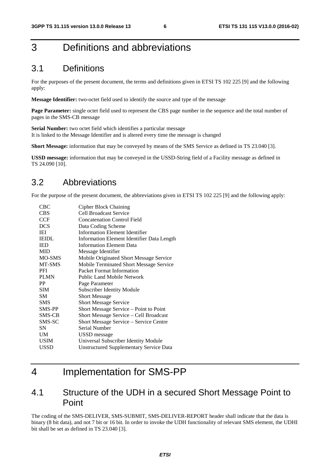# 3 Definitions and abbreviations

#### 3.1 Definitions

For the purposes of the present document, the terms and definitions given in ETSI TS 102 225 [9] and the following apply:

**Message Identifier:** two-octet field used to identify the source and type of the message

**Page Parameter:** single octet field used to represent the CBS page number in the sequence and the total number of pages in the SMS-CB message

**Serial Number:** two octet field which identifies a particular message It is linked to the Message Identifier and is altered every time the message is changed

**Short Message:** information that may be conveyed by means of the SMS Service as defined in TS 23.040 [3].

**USSD message:** information that may be conveyed in the USSD-String field of a Facility message as defined in TS 24.090 [10].

#### 3.2 Abbreviations

For the purpose of the present document, the abbreviations given in ETSI TS 102 225 [9] and the following apply:

| <b>Cipher Block Chaining</b>                   |
|------------------------------------------------|
| Cell Broadcast Service                         |
| <b>Concatenation Control Field</b>             |
| Data Coding Scheme                             |
| Information Element Identifier                 |
| Information Element Identifier Data Length     |
| <b>Information Element Data</b>                |
| Message Identifier                             |
| Mobile Originated Short Message Service        |
| Mobile Terminated Short Message Service        |
| Packet Format Information                      |
| <b>Public Land Mobile Network</b>              |
| Page Parameter                                 |
| <b>Subscriber Identity Module</b>              |
| <b>Short Message</b>                           |
| <b>Short Message Service</b>                   |
| Short Message Service – Point to Point         |
| Short Message Service - Cell Broadcast         |
| Short Message Service – Service Centre         |
| Serial Number                                  |
| USSD message                                   |
| Universal Subscriber Identity Module           |
| <b>Unstructured Supplementary Service Data</b> |
|                                                |

# 4 Implementation for SMS-PP

### 4.1 Structure of the UDH in a secured Short Message Point to Point

The coding of the SMS-DELIVER, SMS-SUBMIT, SMS-DELIVER-REPORT header shall indicate that the data is binary (8 bit data), and not 7 bit or 16 bit. In order to invoke the UDH functionality of relevant SMS element, the UDHI bit shall be set as defined in TS 23.040 [3].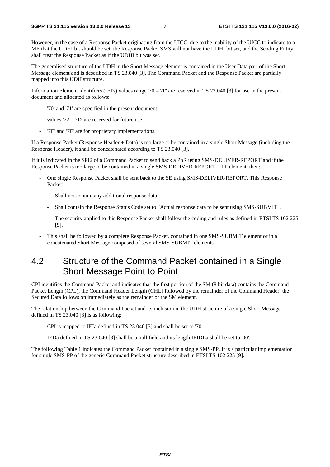However, in the case of a Response Packet originating from the UICC, due to the inability of the UICC to indicate to a ME that the UDHI bit should be set, the Response Packet SMS will not have the UDHI bit set, and the Sending Entity shall treat the Response Packet as if the UDHI bit was set.

The generalised structure of the UDH in the Short Message element is contained in the User Data part of the Short Message element and is described in TS 23.040 [3]. The Command Packet and the Response Packet are partially mapped into this UDH structure.

Information Element Identifiers (IEI's) values range '70 – 7F' are reserved in TS 23.040 [3] for use in the present document and allocated as follows:

- '70' and '71' are specified in the present document
- values ' $72 7D'$  are reserved for future use
- '7E' and '7F' are for proprietary implementations.

If a Response Packet (Response Header + Data) is too large to be contained in a single Short Message (including the Response Header), it shall be concatenated according to TS 23.040 [3].

If it is indicated in the SPI2 of a Command Packet to send back a PoR using SMS-DELIVER-REPORT and if the Response Packet is too large to be contained in a single SMS-DELIVER-REPORT – TP element, then:

- One single Response Packet shall be sent back to the SE using SMS-DELIVER-REPORT. This Response Packet:
	- Shall not contain any additional response data.
	- Shall contain the Response Status Code set to "Actual response data to be sent using SMS-SUBMIT".
	- The security applied to this Response Packet shall follow the coding and rules as defined in ETSI TS 102 225 [9].
- This shall be followed by a complete Response Packet, contained in one SMS-SUBMIT element or in a concatenated Short Message composed of several SMS-SUBMIT elements.

### 4.2 Structure of the Command Packet contained in a Single Short Message Point to Point

CPI identifies the Command Packet and indicates that the first portion of the SM (8 bit data) contains the Command Packet Length (CPL), the Command Header Length (CHL) followed by the remainder of the Command Header: the Secured Data follows on immediately as the remainder of the SM element.

The relationship between the Command Packet and its inclusion in the UDH structure of a single Short Message defined in TS 23.040 [3] is as following:

- CPI is mapped to IEIa defined in TS 23.040 [3] and shall be set to '70'.
- IEDa defined in TS 23.040 [3] shall be a null field and its length IEIDLa shall be set to '00'.

The following Table 1 indicates the Command Packet contained in a single SMS-PP. It is a particular implementation for single SMS-PP of the generic Command Packet structure described in ETSI TS 102 225 [9].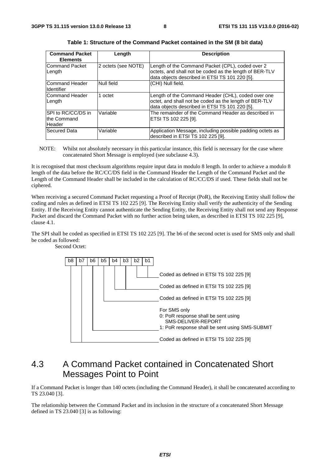| <b>Command Packet</b><br><b>Elements</b>    | Length              | <b>Description</b>                                                                                                                                             |
|---------------------------------------------|---------------------|----------------------------------------------------------------------------------------------------------------------------------------------------------------|
| Command Packet<br>Length                    | 2 octets (see NOTE) | Length of the Command Packet (CPL), coded over 2<br>octets, and shall not be coded as the length of BER-TLV<br>data objects described in ETSI TS 101 220 [5].  |
| Command Header<br>Identifier                | Null field          | (CHI) Null field.                                                                                                                                              |
| Command Header<br>Length                    | 1 octet             | Length of the Command Header (CHL), coded over one<br>octet, and shall not be coded as the length of BER-TLV<br>data objects described in ETSI TS 101 220 [5]. |
| SPI to RC/CC/DS in<br>the Command<br>Header | Variable            | The remainder of the Command Header as described in<br>ETSI TS 102 225 [9].                                                                                    |
| Secured Data                                | Variable            | Application Message, including possible padding octets as<br>described in ETSI TS 102 225 [9].                                                                 |

**Table 1: Structure of the Command Packet contained in the SM (8 bit data)** 

NOTE: Whilst not absolutely necessary in this particular instance, this field is necessary for the case where concatenated Short Message is employed (see subclause 4.3).

It is recognised that most checksum algorithms require input data in modulo 8 length. In order to achieve a modulo 8 length of the data before the RC/CC/DS field in the Command Header the Length of the Command Packet and the Length of the Command Header shall be included in the calculation of RC/CC/DS if used. These fields shall not be ciphered.

When receiving a secured Command Packet requesting a Proof of Receipt (PoR), the Receiving Entity shall follow the coding and rules as defined in ETSI TS 102 225 [9]. The Receiving Entity shall verify the authenticity of the Sending Entity. If the Receiving Entity cannot authenticate the Sending Entity, the Receiving Entity shall not send any Response Packet and discard the Command Packet with no further action being taken, as described in ETSI TS 102 225 [9], clause 4.1.

The SPI shall be coded as specified in ETSI TS 102 225 [9]. The b6 of the second octet is used for SMS only and shall be coded as followed:

Second Octet:



### 4.3 A Command Packet contained in Concatenated Short Messages Point to Point

If a Command Packet is longer than 140 octets (including the Command Header), it shall be concatenated according to TS 23.040 [3].

The relationship between the Command Packet and its inclusion in the structure of a concatenated Short Message defined in TS 23.040 [3] is as following: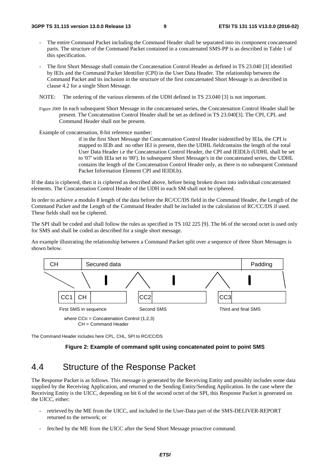- The entire Command Packet including the Command Header shall be separated into its component concatenated parts. The structure of the Command Packet contained in a concatenated SMS-PP is as described in Table 1 of this specification.
- The first Short Message shall contain the Concatenation Control Header as defined in TS 23.040 [3] identified by IEIx and the Command Packet Identifier (CPI) in the User Data Header. The relationship between the Command Packet and its inclusion in the structure of the first concatenated Short Message is as described in clause 4.2 for a single Short Message.

NOTE: The ordering of the various elements of the UDH defined in TS 23.040 [3] is not important.

Figure 2009 In each subsequent Short Message in the concatenated series, the Concatenation Control Header shall be present. The Concatenation Control Header shall be set as defined in TS 23.040[3]. The CPI, CPL and Command Header shall not be present.

Example of concatenation, 8-bit reference number:

 if in the first Short Message the Concatenation Control Header isidentified by IEIa, the CPI is mapped to IEIb and no other IEI is present, then the UDHL fieldcontains the length of the total User Data Header i.e the Concatenation Control Header, the CPI and IEIDLb (UDHL shall be set to '07' with IEIa set to '00'). In subsequent Short Message's in the concatenated series, the UDHL contains the length of the Concatenation Control Header only, as there is no subsequent Command Packet Information Element CPI and IEIDLb).

If the data is ciphered, then it is ciphered as described above, before being broken down into individual concatenated elements. The Concatenation Control Header of the UDH in each SM shall not be ciphered.

In order to achieve a modulo 8 length of the data before the RC/CC/DS field in the Command Header, the Length of the Command Packet and the Length of the Command Header shall be included in the calculation of RC/CC/DS if used. These fields shall not be ciphered.

The SPI shall be coded and shall follow the rules as specified in TS 102 225 [9]. The b6 of the second octet is used only for SMS and shall be coded as described for a single short message.

An example illustrating the relationship between a Command Packet split over a sequence of three Short Messages is shown below.



The Command Header includes here CPL, CHL, SPI to RC/CC/DS

#### **Figure 2: Example of command split using concatenated point to point SMS**

### 4.4 Structure of the Response Packet

The Response Packet is as follows. This message is generated by the Receiving Entity and possibly includes some data supplied by the Receiving Application, and returned to the Sending Entity/Sending Application. In the case where the Receiving Entity is the UICC, depending on bit 6 of the second octet of the SPI, this Response Packet is generated on the UICC, either:

- retrieved by the ME from the UICC, and included in the User-Data part of the SMS-DELIVER-REPORT returned to the network; or
- fetched by the ME from the UICC after the Send Short Message proactive command.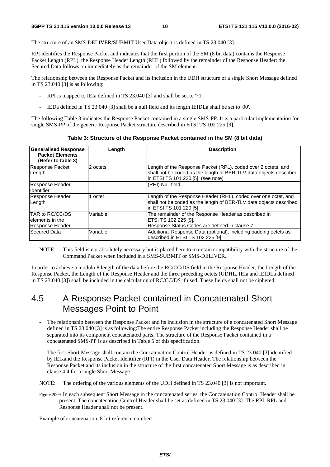The structure of an SMS-DELIVER/SUBMIT User Data object is defined in TS 23.040 [3].

RPI identifies the Response Packet and indicates that the first portion of the SM (8 bit data) contains the Response Packet Length (RPL), the Response Header Length (RHL) followed by the remainder of the Response Header: the Secured Data follows on immediately as the remainder of the SM element.

The relationship between the Response Packet and its inclusion in the UDH structure of a single Short Message defined in TS 23.040 [3] is as following:

- RPI is mapped to IEIa defined in TS 23.040 [3] and shall be set to '71'.
- IEDa defined in TS 23.040 [3] shall be a null field and its length IEIDLa shall be set to '00'.

The following Table 3 indicates the Response Packet contained in a single SMS-PP. It is a particular implementation for single SMS-PP of the generic Response Packet structure described in ETSI TS 102 225 [9].

**Table 3: Structure of the Response Packet contained in the SM (8 bit data)** 

| <b>Generalised Response</b><br><b>Packet Elements</b><br>(Refer to table 3) | Length   | <b>Description</b>                                                                                                                                                        |
|-----------------------------------------------------------------------------|----------|---------------------------------------------------------------------------------------------------------------------------------------------------------------------------|
| Response Packet<br>Length                                                   | 2 octets | Length of the Response Packet (RPL), coded over 2 octets, and<br>shall not be coded as the length of BER-TLV data objects described<br>in ETSI TS 101 220 [5]. (see note) |
| Response Header<br><b>Identifier</b>                                        |          | (RHI) Null field.                                                                                                                                                         |
| Response Header<br>Length                                                   | octet    | Length of the Response Header (RHL), coded over one octet, and<br>shall not be coded as the length of BER-TLV data objects described<br>lin ETSI TS 101 220 [5].          |
| TAR to RC/CC/DS<br>lelements in the<br>Response Header                      | Variable | The remainder of the Response Header as described in<br>ETSI TS 102 225 [9].<br>Response Status Codes are defined in clause 7.                                            |
| lSecured Data                                                               | Variable | Additional Response Data (optional), including padding octets as<br>described in ETSI TS 102 225 [9].                                                                     |

NOTE: This field is not absolutely necessary but is placed here to maintain compatibility with the structure of the Command Packet when included in a SMS-SUBMIT or SMS-DELIVER.

In order to achieve a modulo 8 length of the data before the RC/CC/DS field in the Response Header, the Length of the Response Packet, the Length of the Response Header and the three preceding octets (UDHL, IEIa and IEIDLa defined in TS 23.040 [3]) shall be included in the calculation of RC/CC/DS if used. These fields shall not be ciphered.

#### 4.5 A Response Packet contained in Concatenated Short Messages Point to Point

- The relationship between the Response Packet and its inclusion in the structure of a concatenated Short Message defined in TS 23.040 [3] is as following:The entire Response Packet including the Response Header shall be separated into its component concatenated parts. The structure of the Response Packet contained in a concatenated SMS-PP is as described in Table 5 of this specification.
- The first Short Message shall contain the Concatenation Control Header as defined in TS 23.040 [3] identified by IEIxand the Response Packet Identifier (RPI) in the User Data Header. The relationship between the Response Packet and its inclusion in the structure of the first concatenated Short Message is as described in clause 4.4 for a single Short Message.

NOTE: The ordering of the various elements of the UDH defined in TS 23.040 [3] is not important.

Figure 2009 In each subsequent Short Message in the concatenated series, the Concatenation Control Header shall be present. The concatenation Control Header shall be set as defined in TS 23.040 [3]. The RPI, RPL and Response Header shall not be present.

Example of concatenation, 8-bit reference number: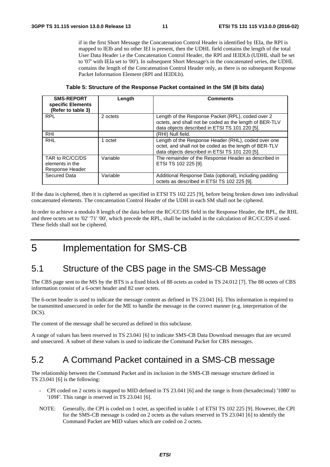if in the first Short Message the Concatenation Control Header is identified by IEIa, the RPI is mapped to IEIb and no other IEI is present, then the UDHL field contains the length of the total User Data Header i.e the Concatenation Control Header, the RPI and IEIDLb (UDHL shall be set to '07' with IEIa set to '00'). In subsequent Short Message's in the concatenated series, the UDHL contains the length of the Concatenation Control Header only, as there is no subsequent Response Packet Information Element (RPI and IEIDLb).

**Table 5: Structure of the Response Packet contained in the SM (8 bits data)** 

| <b>SMS-REPORT</b><br>specific Elements<br>(Refer to table 3) | Length   | <b>Comments</b>                                                                                                                                                 |
|--------------------------------------------------------------|----------|-----------------------------------------------------------------------------------------------------------------------------------------------------------------|
| <b>RPL</b>                                                   | 2 octets | Length of the Response Packet (RPL), coded over 2<br>octets, and shall not be coded as the length of BER-TLV<br>data objects described in ETSI TS 101 220 [5].  |
| <b>RHI</b>                                                   |          | (RHI) Null field.                                                                                                                                               |
| <b>RHL</b>                                                   | 1 octet  | Length of the Response Header (RHL), coded over one<br>octet, and shall not be coded as the length of BER-TLV<br>data objects described in ETSI TS 101 220 [5]. |
| TAR to RC/CC/DS<br>elements in the<br>Response Header        | Variable | The remainder of the Response Header as described in<br>ETSI TS 102 225 [9].                                                                                    |
| Secured Data                                                 | Variable | Additional Response Data (optional), including padding<br>octets as described in ETSI TS 102 225 [9].                                                           |

If the data is ciphered, then it is ciphered as specified in ETSI TS 102 225 [9], before being broken down into individual concatenated elements. The concatenation Control Header of the UDH in each SM shall not be ciphered.

In order to achieve a modulo 8 length of the data before the RC/CC/DS field in the Response Header, the RPL, the RHL and three octets set to '02' '71' '00', which precede the RPL, shall be included in the calculation of RC/CC/DS if used. These fields shall not be ciphered.

5 Implementation for SMS-CB

#### 5.1 Structure of the CBS page in the SMS-CB Message

The CBS page sent to the MS by the BTS is a fixed block of 88 octets as coded in TS 24.012 [7]. The 88 octets of CBS information consist of a 6-octet header and 82 user octets.

The 6-octet header is used to indicate the message content as defined in TS 23.041 [6]. This information is required to be transmitted unsecured in order for the ME to handle the message in the correct manner (e.g. interpretation of the DCS).

The content of the message shall be secured as defined in this subclause.

A range of values has been reserved in TS 23.041 [6] to indicate SMS-CB Data Download messages that are secured and unsecured. A subset of these values is used to indicate the Command Packet for CBS messages.

#### 5.2 A Command Packet contained in a SMS-CB message

The relationship between the Command Packet and its inclusion in the SMS-CB message structure defined in TS 23.041 [6] is the following:

- CPI coded on 2 octets is mapped to MID defined in TS 23.041 [6] and the range is from (hexadecimal) '1080' to '109F'. This range is reserved in TS 23.041 [6].
- NOTE: Generally, the CPI is coded on 1 octet, as specified in table 1 of ETSI TS 102 225 [9]. However, the CPI for the SMS-CB message is coded on 2 octets as the values reserved in TS 23.041 [6] to identify the Command Packet are MID values which are coded on 2 octets.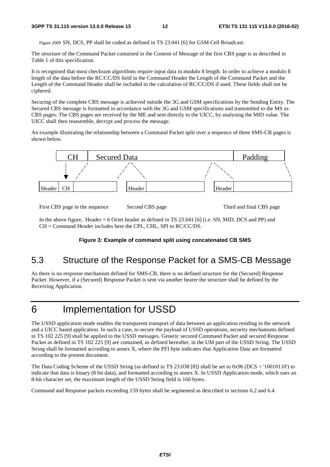Figure 2009 SN, DCS, PP shall be coded as defined in TS 23.041 [6] for GSM Cell Broadcast.

The structure of the Command Packet contained in the Content of Message of the first CBS page is as described in Table 1 of this specification.

It is recognised that most checksum algorithms require input data in modulo 8 length. In order to achieve a modulo 8 length of the data before the RC/CC/DS field in the Command Header the Length of the Command Packet and the Length of the Command Header shall be included in the calculation of RC/CC/DS if used. These fields shall not be ciphered.

Securing of the complete CBS message is achieved outside the 3G and GSM specifications by the Sending Entity. The Secured CBS message is formatted in accordance with the 3G and GSM specifications and transmitted to the MS as CBS pages. The CBS pages are received by the ME and sent directly to the UICC, by analysing the MID value. The UICC shall then reassemble, decrypt and process the message.

An example illustrating the relationship between a Command Packet split over a sequence of three SMS-CB pages is shown below.



First CBS page in the sequence Second CBS page Third and final CBS page

In the above figure, Header = 6 Octet header as defined in TS 23.041 [6] (i.e. SN, MID, DCS and PP) and CH = Command Header includes here the CPL, CHL, SPI to RC/CC/DS.

#### **Figure 3: Example of command split using concatenated CB SMS**

### 5.3 Structure of the Response Packet for a SMS-CB Message

As there is no response mechanism defined for SMS-CB, there is no defined structure for the (Secured) Response Packet. However, if a (Secured) Response Packet is sent via another bearer the structure shall be defined by the Receiving Application.

# 6 Implementation for USSD

The USSD application mode enables the transparent transport of data between an application residing in the network and a UICC based application. In such a case, to secure the payload of USSD operations, security mechanisms defined in TS 102 225 [9] shall be applied to the USSD messages. Generic secured Command Packet and secured Response Packet as defined in TS 102 225 [9] are contained, as defined hereafter, in the UM part of the USSD String. The USSD String shall be formatted according to annex X, where the PFI byte indicates that Application Data are formatted according to the present document.

The Data Coding Scheme of the USSD String (as defined in TS 23.038 [8]) shall be set to 0x96 (DCS = '10010110') to indicate that data is binary (8 bit data), and formatted according to annex X. In USSD Application mode, which uses an 8-bit character set, the maximum length of the USSD String field is 160 bytes.

Command and Response packets exceeding 159 bytes shall be segmented as described in sections 6.2 and 6.4.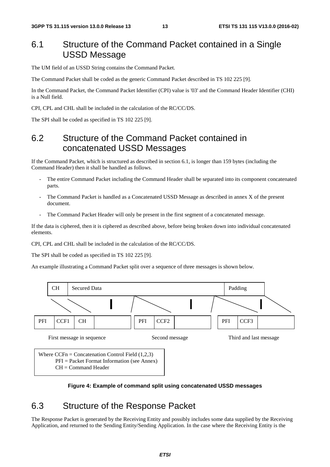### 6.1 Structure of the Command Packet contained in a Single USSD Message

The UM field of an USSD String contains the Command Packet.

The Command Packet shall be coded as the generic Command Packet described in TS 102 225 [9].

In the Command Packet, the Command Packet Identifier (CPI) value is '03' and the Command Header Identifier (CHI) is a Null field.

CPI, CPL and CHL shall be included in the calculation of the RC/CC/DS.

The SPI shall be coded as specified in TS 102 225 [9].

### 6.2 Structure of the Command Packet contained in concatenated USSD Messages

If the Command Packet, which is structured as described in section 6.1, is longer than 159 bytes (including the Command Header) then it shall be handled as follows.

- The entire Command Packet including the Command Header shall be separated into its component concatenated parts.
- The Command Packet is handled as a Concatenated USSD Message as described in annex X of the present document.
- The Command Packet Header will only be present in the first segment of a concatenated message.

If the data is ciphered, then it is ciphered as described above, before being broken down into individual concatenated elements.

CPI, CPL and CHL shall be included in the calculation of the RC/CC/DS.

The SPI shall be coded as specified in TS 102 225 [9].

An example illustrating a Command Packet split over a sequence of three messages is shown below.





### 6.3 Structure of the Response Packet

The Response Packet is generated by the Receiving Entity and possibly includes some data supplied by the Receiving Application, and returned to the Sending Entity/Sending Application. In the case where the Receiving Entity is the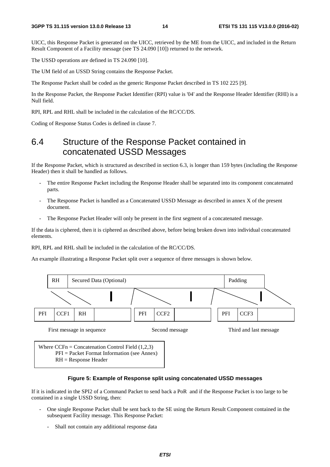UICC, this Response Packet is generated on the UICC, retrieved by the ME from the UICC, and included in the Return Result Component of a Facility message (see TS 24.090 [10]) returned to the network.

The USSD operations are defined in TS 24.090 [10].

The UM field of an USSD String contains the Response Packet.

The Response Packet shall be coded as the generic Response Packet described in TS 102 225 [9].

In the Response Packet, the Response Packet Identifier (RPI) value is '04' and the Response Header Identifier (RHI) is a Null field.

RPI, RPL and RHL shall be included in the calculation of the RC/CC/DS.

Coding of Response Status Codes is defined in clause 7.

### 6.4 Structure of the Response Packet contained in concatenated USSD Messages

If the Response Packet, which is structured as described in section 6.3, is longer than 159 bytes (including the Response Header) then it shall be handled as follows.

- The entire Response Packet including the Response Header shall be separated into its component concatenated parts.
- The Response Packet is handled as a Concatenated USSD Message as described in annex X of the present document.
- The Response Packet Header will only be present in the first segment of a concatenated message.

If the data is ciphered, then it is ciphered as described above, before being broken down into individual concatenated elements.

RPI, RPL and RHL shall be included in the calculation of the RC/CC/DS.

An example illustrating a Response Packet split over a sequence of three messages is shown below.



RH = Response Header

#### **Figure 5: Example of Response split using concatenated USSD messages**

If it is indicated in the SPI2 of a Command Packet to send back a PoR and if the Response Packet is too large to be contained in a single USSD String, then:

- One single Response Packet shall be sent back to the SE using the Return Result Component contained in the subsequent Facility message. This Response Packet:
	- Shall not contain any additional response data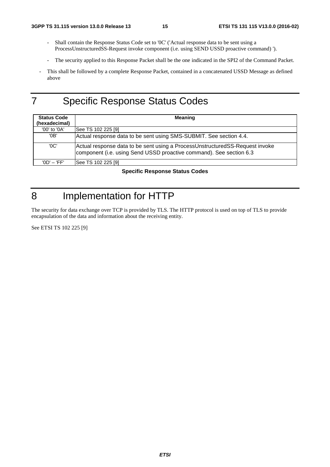- Shall contain the Response Status Code set to '0C' ('Actual response data to be sent using a ProcessUnstructuredSS-Request invoke component (i.e. using SEND USSD proactive command) ').
- The security applied to this Response Packet shall be the one indicated in the SPI2 of the Command Packet.
- This shall be followed by a complete Response Packet, contained in a concatenated USSD Message as defined above

# 7 Specific Response Status Codes

| <b>Status Code</b><br>(hexadecimal) | <b>Meaning</b>                                                                                                                                      |  |  |  |  |
|-------------------------------------|-----------------------------------------------------------------------------------------------------------------------------------------------------|--|--|--|--|
| '00' to '0A'                        | See TS 102 225 [9]                                                                                                                                  |  |  |  |  |
| '0B'                                | Actual response data to be sent using SMS-SUBMIT. See section 4.4.                                                                                  |  |  |  |  |
| 'OC'                                | Actual response data to be sent using a ProcessUnstructuredSS-Request invoke<br>component (i.e. using Send USSD proactive command). See section 6.3 |  |  |  |  |
| '0D' – 'FF'                         | See TS 102 225 [9]                                                                                                                                  |  |  |  |  |

**Specific Response Status Codes** 

# 8 Implementation for HTTP

The security for data exchange over TCP is provided by TLS. The HTTP protocol is used on top of TLS to provide encapsulation of the data and information about the receiving entity.

See ETSI TS 102 225 [9]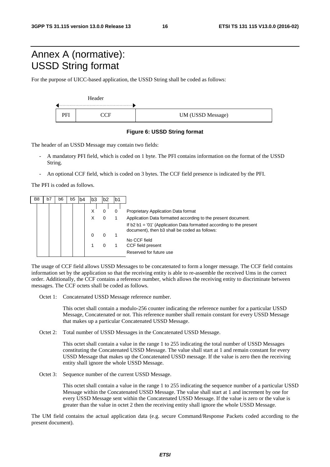# Annex A (normative): USSD String format

For the purpose of UICC-based application, the USSD String shall be coded as follows:



#### **Figure 6: USSD String format**

The header of an USSD Message may contain two fields:

- A mandatory PFI field, which is coded on 1 byte. The PFI contains information on the format of the USSD String.
- An optional CCF field, which is coded on 3 bytes. The CCF field presence is indicated by the PFI.

The PFI is coded as follows.

| X<br>Proprietary Application Data format<br>0                                                                                                                                                                                                                     |  |
|-------------------------------------------------------------------------------------------------------------------------------------------------------------------------------------------------------------------------------------------------------------------|--|
| Χ<br>Application Data formatted according to the present document.<br>If $b2 b1 = 01'$ (Application Data formatted according to the present<br>document), then b3 shall be coded as follows:<br>0<br>No CCF field<br>CCF field present<br>Reserved for future use |  |

The usage of CCF field allows USSD Messages to be concatenated to form a longer message. The CCF field contains information set by the application so that the receiving entity is able to re-assemble the received Ums in the correct order. Additionally, the CCF contains a reference number, which allows the receiving entity to discriminate between messages. The CCF octets shall be coded as follows.

Octet 1: Concatenated USSD Message reference number.

 This octet shall contain a modulo-256 counter indicating the reference number for a particular USSD Message, Concatenated or not. This reference number shall remain constant for every USSD Message that makes up a particular Concatenated USSD Message.

Octet 2: Total number of USSD Messages in the Concatenated USSD Message.

 This octet shall contain a value in the range 1 to 255 indicating the total number of USSD Messages constituting the Concatenated USSD Message. The value shall start at 1 and remain constant for every USSD Message that makes up the Concatenated USSD message. If the value is zero then the receiving entity shall ignore the whole USSD Message.

Octet 3: Sequence number of the current USSD Message.

 This octet shall contain a value in the range 1 to 255 indicating the sequence number of a particular USSD Message within the Concatenated USSD Message. The value shall start at 1 and increment by one for every USSD Message sent within the Concatenated USSD Message. If the value is zero or the value is greater than the value in octet 2 then the receiving entity shall ignore the whole USSD Message.

The UM field contains the actual application data (e.g. secure Command/Response Packets coded according to the present document).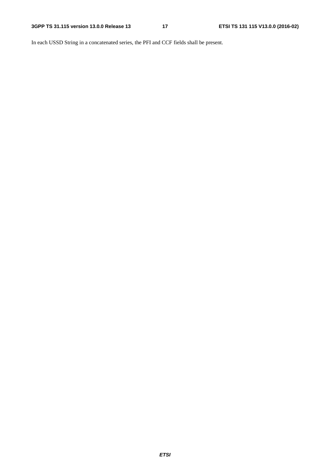In each USSD String in a concatenated series, the PFI and CCF fields shall be present.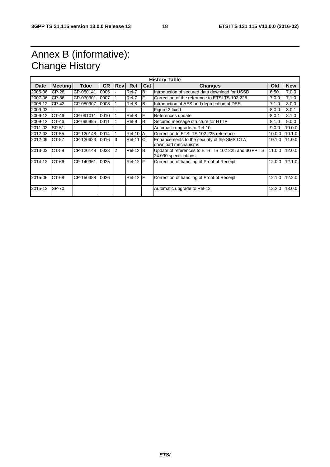# Annex B (informative): Change History

| <b>History Table</b> |                |             |           |                |                 |          |                                                                              |        |            |
|----------------------|----------------|-------------|-----------|----------------|-----------------|----------|------------------------------------------------------------------------------|--------|------------|
| <b>Date</b>          | <b>Meeting</b> | <b>Tdoc</b> | <b>CR</b> | <b>Rev</b>     | Rel             | Cat      | <b>Changes</b>                                                               | Old    | <b>New</b> |
| 2005-06              | <b>CP-28</b>   | CP-050141   | 0005      |                | Rel-7           | B        | Introduction of secured data download for USSD                               | 6.50.  | 7.0.0      |
| 2007-06              | CP-36          | CP-070301   | 0007      |                | Rel-7           | F        | Correction of the reference to ETSI TS 102 225                               | 7.0.0  | 7.1.0      |
| 2008-12              | CP-42          | CP-080907   | 0008      |                | Rel-8           | IB       | Introduction of AES and deprecation of DES                                   | 7.1.0  | 8.0.0      |
| 2009-03              |                |             |           |                |                 |          | Figure 2 fixed                                                               | 8.0.0  | 8.0.1      |
| 2009-12              | CT-46          | CP-091011   | 0010      |                | Rel-8           | F        | References update                                                            | 8.0.1  | 8.1.0      |
| 2009-12              | CT-46          | CP-090995   | 0011      |                | Rel-9           | <b>B</b> | Secured message structure for HTTP                                           | 8.1.0  | 9.0.0      |
| 2011-03              | SP-51          |             |           |                |                 |          | Automatic upgrade to Rel-10                                                  | 9.0.0  | 10.0.0     |
| 2012-03              | CT-55          | CP-120148   | 0014      |                | <b>Rel-10 A</b> |          | Correction to ETSI TS 102 225 reference                                      | 10.0.0 | 10.1.0     |
| 2012-09              | CT-57          | CP-120623   | 0016      | Iз             | $ReI-11$ $C$    |          | Enhancements to the security of the SMS OTA<br>download mechanisms           | 10.1.0 | 11.0.0     |
| 2013-03              | CT-59          | CP-120148   | 0023      | $\overline{2}$ | $ReI-12$ B      |          | Update of references to ETSI TS 102 225 and 3GPP TS<br>24.090 specifications | 11.0.0 | 12.0.0     |
| 2014-12              | CT-66          | CP-140961   | 0025      |                | $ReI-12$ F      |          | Correction of handling of Proof of Receipt                                   | 12.0.0 | 12.1.0     |
| 2015-06              | CT-68          | CP-150388   | 0026      |                | Rel-12 F        |          | Correction of handling of Proof of Receipt                                   | 12.1.0 | 12.2.0     |
| 2015-12              | SP-70          |             |           |                |                 |          | Automatic upgrade to Rel-13                                                  | 12.2.0 | 13.0.0     |